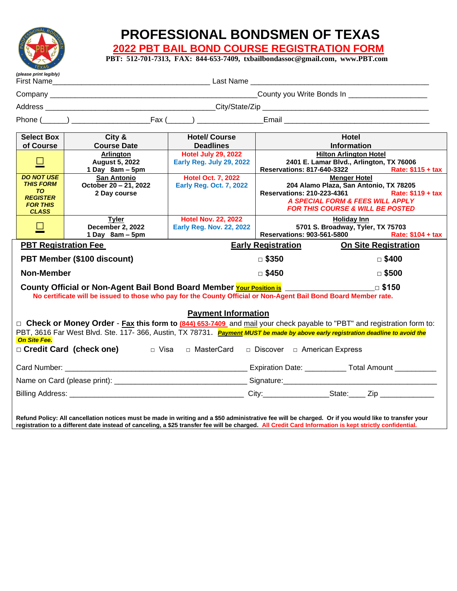

# **PROFESSIONAL BONDSMEN OF TEXAS**

 **2022 PBT BAIL BOND COURSE REGISTRATION FORM** 

 **PBT: 512-701-7313, FAX: 844-653-7409, txbailbondassoc@gmail.com, www.PBT.com**

| (please print legibly)                                                                                                                                                                                                                                                                  |                                                                |                                                               |                                               |                                                                                                                                                                                                            |
|-----------------------------------------------------------------------------------------------------------------------------------------------------------------------------------------------------------------------------------------------------------------------------------------|----------------------------------------------------------------|---------------------------------------------------------------|-----------------------------------------------|------------------------------------------------------------------------------------------------------------------------------------------------------------------------------------------------------------|
|                                                                                                                                                                                                                                                                                         |                                                                |                                                               | County you Write Bonds In ___________________ |                                                                                                                                                                                                            |
|                                                                                                                                                                                                                                                                                         |                                                                |                                                               |                                               |                                                                                                                                                                                                            |
|                                                                                                                                                                                                                                                                                         | Phone $( )$ Fax $( )$                                          |                                                               |                                               |                                                                                                                                                                                                            |
| <b>Select Box</b><br>of Course                                                                                                                                                                                                                                                          | City &<br><b>Course Date</b>                                   | <b>Hotel/ Course</b><br><b>Deadlines</b>                      |                                               | <b>Hotel</b><br><b>Information</b>                                                                                                                                                                         |
| $\Box$                                                                                                                                                                                                                                                                                  | <b>Arlinaton</b><br><b>August 5, 2022</b><br>1 Day $8am - 5pm$ | <b>Hotel July 29, 2022</b><br>Early Reg. July 29, 2022        |                                               | <b>Hilton Arlington Hotel</b><br>2401 E. Lamar Blvd., Arlington, TX 76006<br>Reservations: 817-640-3322<br>Rate: $$115 + tax$                                                                              |
| <b>DO NOT USE</b><br><b>THIS FORM</b><br><b>TO</b><br><b>REGISTER</b><br><b>FOR THIS</b><br><b>CLASS</b>                                                                                                                                                                                | San Antonio<br>October 20 - 21, 2022<br>2 Day course           | <b>Hotel Oct. 7, 2022</b><br><b>Early Reg. Oct. 7, 2022</b>   |                                               | <b>Menger Hotel</b><br>204 Alamo Plaza, San Antonio, TX 78205<br><b>Reservations: 210-223-4361</b><br>Rate: \$119 + tax<br>A SPECIAL FORM & FEES WILL APPLY<br><b>FOR THIS COURSE &amp; WILL BE POSTED</b> |
| $\Box$                                                                                                                                                                                                                                                                                  | <b>Tyler</b><br>December 2, 2022<br>1 Day $8am - 5pm$          | <b>Hotel Nov. 22, 2022</b><br><b>Early Reg. Nov. 22, 2022</b> | <b>Reservations: 903-561-5800</b>             | <b>Holiday Inn</b><br>5701 S. Broadway, Tyler, TX 75703<br>Rate: \$104 + tax                                                                                                                               |
| <b>PBT Registration Fee</b><br><b>Early Registration</b>                                                                                                                                                                                                                                |                                                                |                                                               |                                               | <b>On Site Registration</b>                                                                                                                                                                                |
| PBT Member (\$100 discount)                                                                                                                                                                                                                                                             |                                                                |                                                               | $\square$ \$350                               | $\square$ \$400                                                                                                                                                                                            |
| <b>Non-Member</b>                                                                                                                                                                                                                                                                       |                                                                |                                                               | $\Box$ \$450                                  | $\Box$ \$500                                                                                                                                                                                               |
| $\Box$ \$150<br>County Official or Non-Agent Bail Bond Board Member Your Position is<br>No certificate will be issued to those who pay for the County Official or Non-Agent Bail Bond Board Member rate.                                                                                |                                                                |                                                               |                                               |                                                                                                                                                                                                            |
| <b>Payment Information</b>                                                                                                                                                                                                                                                              |                                                                |                                                               |                                               |                                                                                                                                                                                                            |
| $\Box$ Check or Money Order - Fax this form to (844) 653-7409 and mail your check payable to "PBT" and registration form to:<br>PBT, 3616 Far West Blvd. Ste. 117- 366, Austin, TX 78731. Payment MUST be made by above early registration deadline to avoid the<br><b>On Site Fee.</b> |                                                                |                                                               |                                               |                                                                                                                                                                                                            |
| □ Credit Card (check one)<br>□ Visa<br>□ MasterCard<br>□ Discover □ American Express                                                                                                                                                                                                    |                                                                |                                                               |                                               |                                                                                                                                                                                                            |
|                                                                                                                                                                                                                                                                                         |                                                                |                                                               |                                               | Expiration Date: _____________ Total Amount ___________                                                                                                                                                    |
|                                                                                                                                                                                                                                                                                         |                                                                |                                                               |                                               |                                                                                                                                                                                                            |
| Billing Address: City: City: State: Zip                                                                                                                                                                                                                                                 |                                                                |                                                               |                                               |                                                                                                                                                                                                            |
|                                                                                                                                                                                                                                                                                         |                                                                |                                                               |                                               |                                                                                                                                                                                                            |

**Refund Policy: All cancellation notices must be made in writing and a \$50 administrative fee will be charged. Or if you would like to transfer your registration to a different date instead of canceling, a \$25 transfer fee will be charged. All Credit Card Information is kept strictly confidential.**